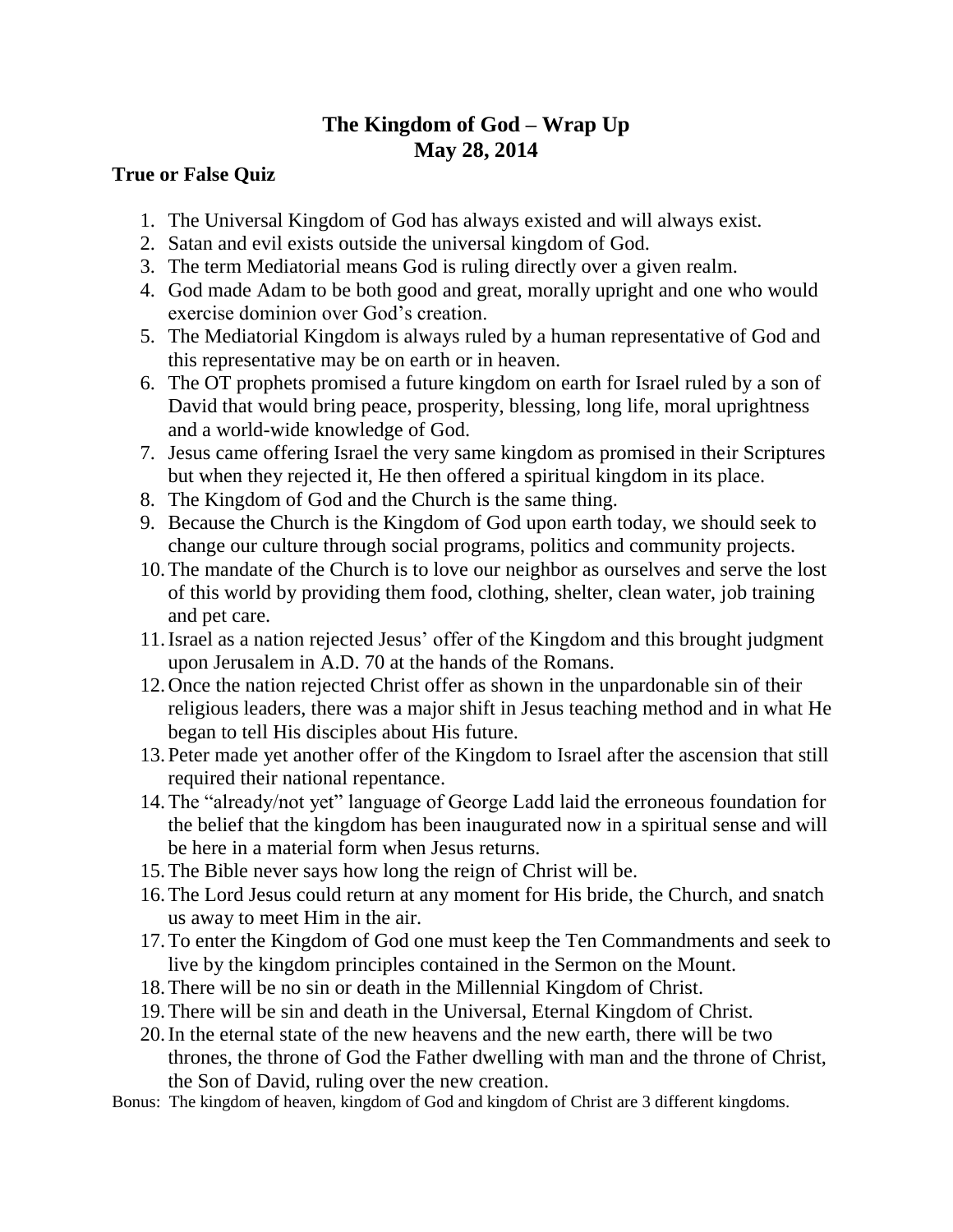# **The Kingdom of God – Wrap Up May 28, 2014**

## **True or False Quiz**

- 1. The Universal Kingdom of God has always existed and will always exist.
- 2. Satan and evil exists outside the universal kingdom of God.
- 3. The term Mediatorial means God is ruling directly over a given realm.
- 4. God made Adam to be both good and great, morally upright and one who would exercise dominion over God's creation.
- 5. The Mediatorial Kingdom is always ruled by a human representative of God and this representative may be on earth or in heaven.
- 6. The OT prophets promised a future kingdom on earth for Israel ruled by a son of David that would bring peace, prosperity, blessing, long life, moral uprightness and a world-wide knowledge of God.
- 7. Jesus came offering Israel the very same kingdom as promised in their Scriptures but when they rejected it, He then offered a spiritual kingdom in its place.
- 8. The Kingdom of God and the Church is the same thing.
- 9. Because the Church is the Kingdom of God upon earth today, we should seek to change our culture through social programs, politics and community projects.
- 10.The mandate of the Church is to love our neighbor as ourselves and serve the lost of this world by providing them food, clothing, shelter, clean water, job training and pet care.
- 11.Israel as a nation rejected Jesus' offer of the Kingdom and this brought judgment upon Jerusalem in A.D. 70 at the hands of the Romans.
- 12.Once the nation rejected Christ offer as shown in the unpardonable sin of their religious leaders, there was a major shift in Jesus teaching method and in what He began to tell His disciples about His future.
- 13.Peter made yet another offer of the Kingdom to Israel after the ascension that still required their national repentance.
- 14.The "already/not yet" language of George Ladd laid the erroneous foundation for the belief that the kingdom has been inaugurated now in a spiritual sense and will be here in a material form when Jesus returns.
- 15.The Bible never says how long the reign of Christ will be.
- 16.The Lord Jesus could return at any moment for His bride, the Church, and snatch us away to meet Him in the air.
- 17.To enter the Kingdom of God one must keep the Ten Commandments and seek to live by the kingdom principles contained in the Sermon on the Mount.
- 18.There will be no sin or death in the Millennial Kingdom of Christ.
- 19.There will be sin and death in the Universal, Eternal Kingdom of Christ.
- 20.In the eternal state of the new heavens and the new earth, there will be two thrones, the throne of God the Father dwelling with man and the throne of Christ, the Son of David, ruling over the new creation.
- Bonus: The kingdom of heaven, kingdom of God and kingdom of Christ are 3 different kingdoms.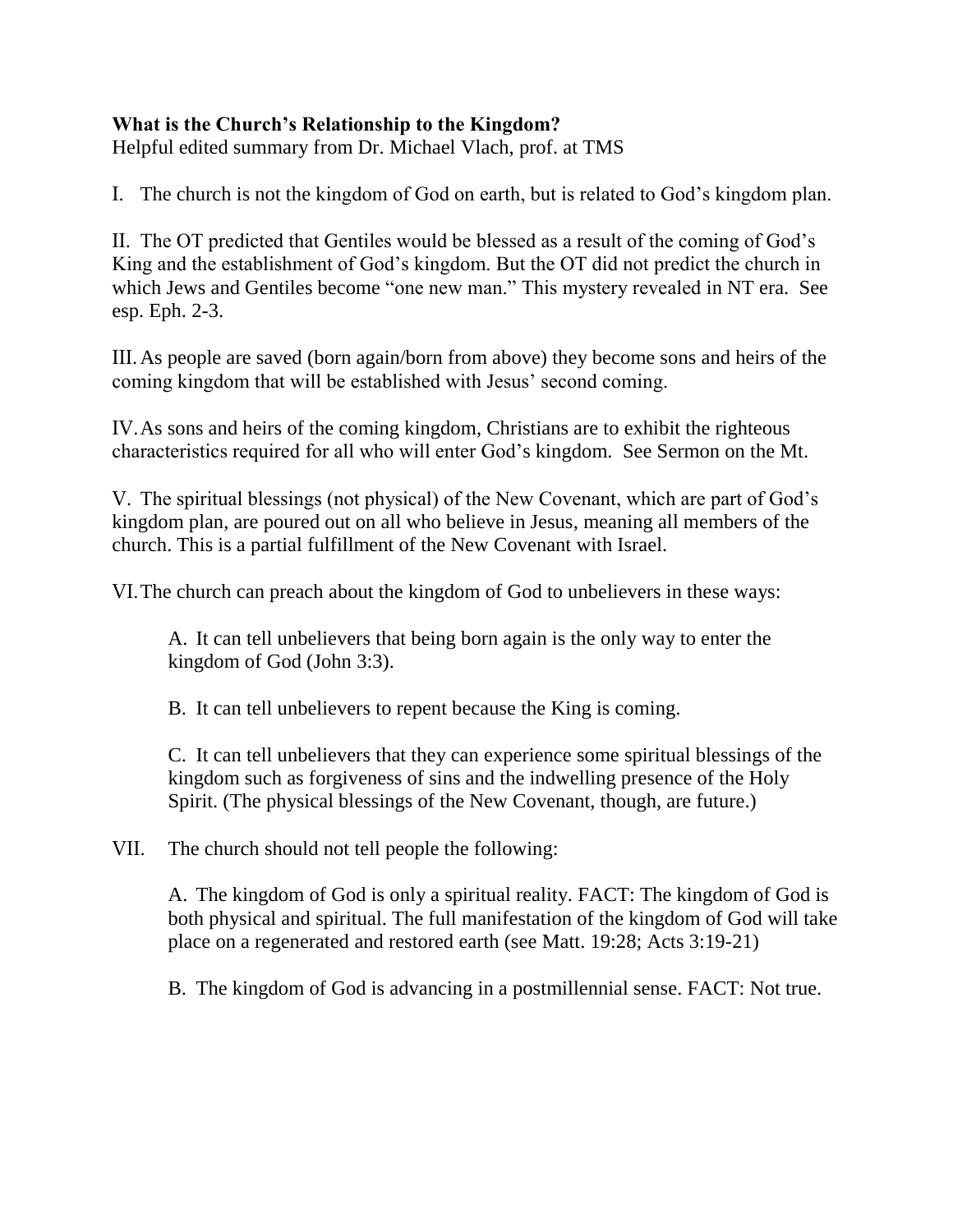## **What is the Church's Relationship to the Kingdom?**

Helpful edited summary from Dr. Michael Vlach, prof. at TMS

I. The church is not the kingdom of God on earth, but is related to God's kingdom plan.

II. The OT predicted that Gentiles would be blessed as a result of the coming of God's King and the establishment of God's kingdom. But the OT did not predict the church in which Jews and Gentiles become "one new man." This mystery revealed in NT era. See esp. Eph. 2-3.

III.As people are saved (born again/born from above) they become sons and heirs of the coming kingdom that will be established with Jesus' second coming.

IV.As sons and heirs of the coming kingdom, Christians are to exhibit the righteous characteristics required for all who will enter God's kingdom. See Sermon on the Mt.

V. The spiritual blessings (not physical) of the New Covenant, which are part of God's kingdom plan, are poured out on all who believe in Jesus, meaning all members of the church. This is a partial fulfillment of the New Covenant with Israel.

VI.The church can preach about the kingdom of God to unbelievers in these ways:

A. It can tell unbelievers that being born again is the only way to enter the kingdom of God (John 3:3).

B. It can tell unbelievers to repent because the King is coming.

C. It can tell unbelievers that they can experience some spiritual blessings of the kingdom such as forgiveness of sins and the indwelling presence of the Holy Spirit. (The physical blessings of the New Covenant, though, are future.)

VII. The church should not tell people the following:

A. The kingdom of God is only a spiritual reality. FACT: The kingdom of God is both physical and spiritual. The full manifestation of the kingdom of God will take place on a regenerated and restored earth (see Matt. 19:28; Acts 3:19-21)

B. The kingdom of God is advancing in a postmillennial sense. FACT: Not true.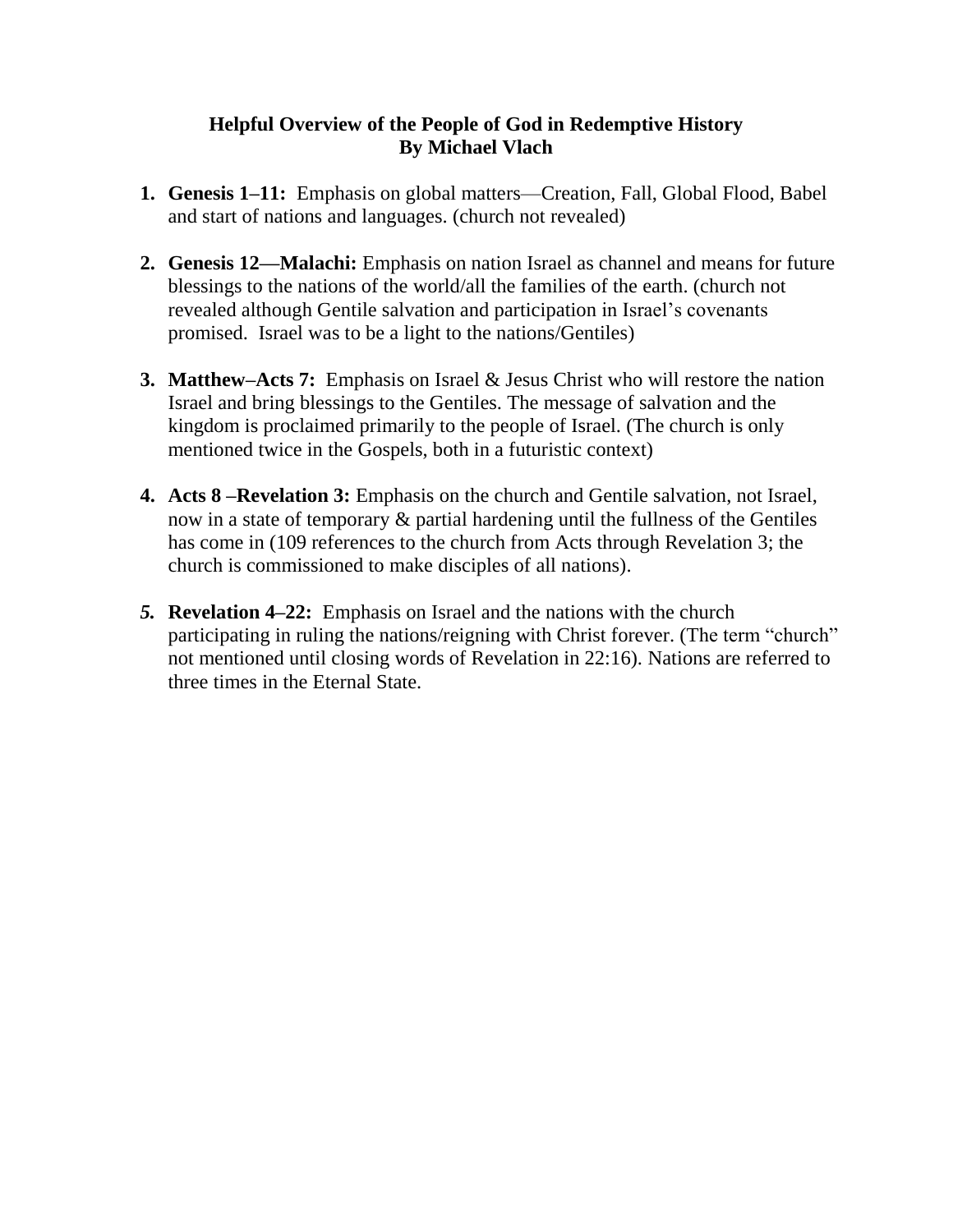### **Helpful Overview of the People of God in Redemptive History By Michael Vlach**

- **1. Genesis 1–11:** Emphasis on global matters—Creation, Fall, Global Flood, Babel and start of nations and languages. (church not revealed)
- **2. Genesis 12—Malachi:** Emphasis on nation Israel as channel and means for future blessings to the nations of the world/all the families of the earth. (church not revealed although Gentile salvation and participation in Israel's covenants promised. Israel was to be a light to the nations/Gentiles)
- **3. Matthew–Acts 7:** Emphasis on Israel & Jesus Christ who will restore the nation Israel and bring blessings to the Gentiles. The message of salvation and the kingdom is proclaimed primarily to the people of Israel. (The church is only mentioned twice in the Gospels, both in a futuristic context)
- **4. Acts 8 –Revelation 3:** Emphasis on the church and Gentile salvation, not Israel, now in a state of temporary & partial hardening until the fullness of the Gentiles has come in (109 references to the church from Acts through Revelation 3; the church is commissioned to make disciples of all nations).
- *5.* **Revelation 4–22:** Emphasis on Israel and the nations with the church participating in ruling the nations/reigning with Christ forever. (The term "church" not mentioned until closing words of Revelation in 22:16). Nations are referred to three times in the Eternal State.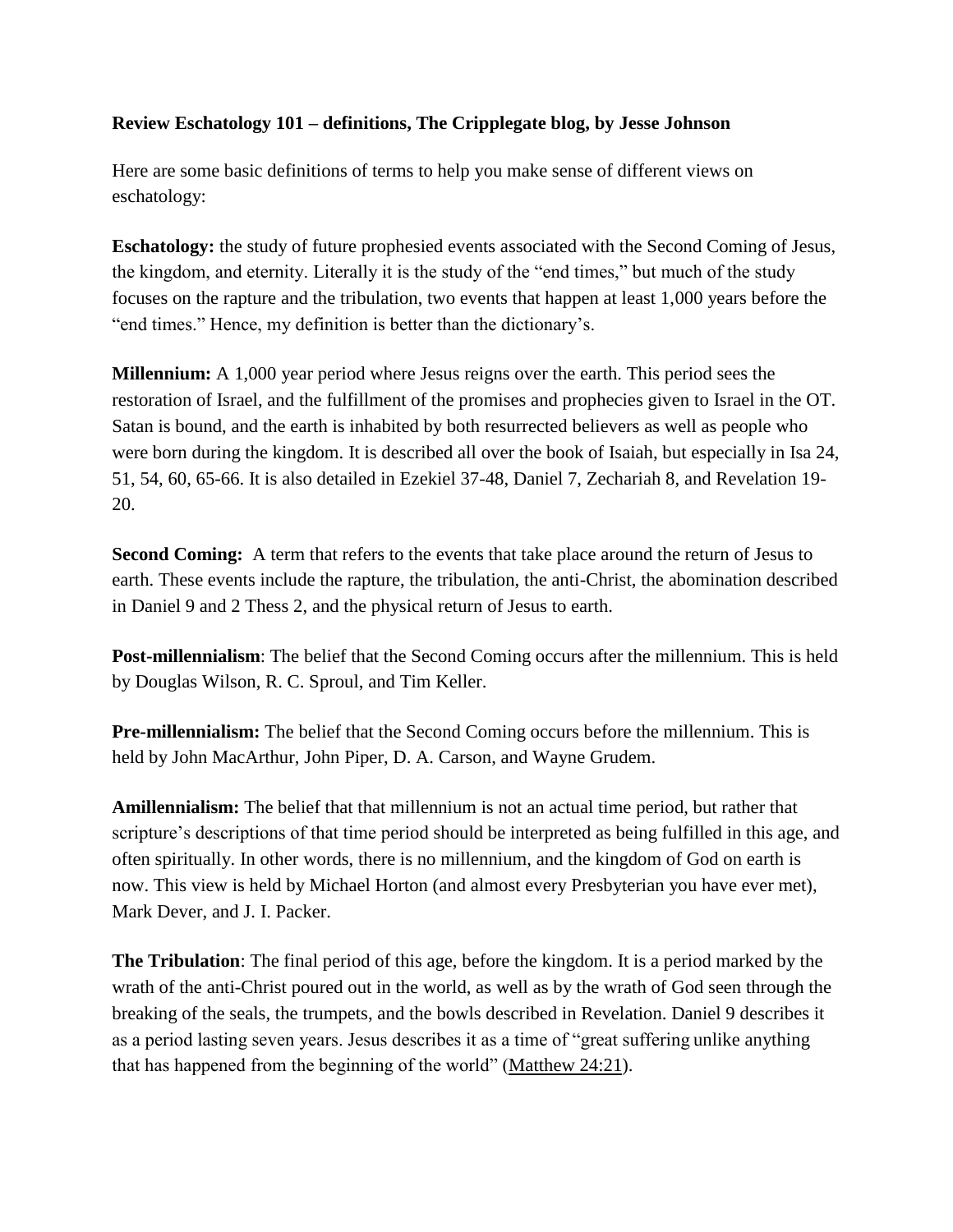#### **Review Eschatology 101 – definitions, The Cripplegate blog, by Jesse Johnson**

Here are some basic definitions of terms to help you make sense of different views on eschatology:

**Eschatology:** the study of future prophesied events associated with the Second Coming of Jesus, the kingdom, and eternity. Literally it is the study of the "end times," but much of the study focuses on the rapture and the tribulation, two events that happen at least 1,000 years before the "end times." Hence, my definition is better than the dictionary's.

**Millennium:** A 1,000 year period where Jesus reigns over the earth. This period sees the restoration of Israel, and the fulfillment of the promises and prophecies given to Israel in the OT. Satan is bound, and the earth is inhabited by both resurrected believers as well as people who were born during the kingdom. It is described all over the book of Isaiah, but especially in Isa 24, 51, 54, 60, 65-66. It is also detailed in Ezekiel 37-48, Daniel 7, Zechariah 8, and Revelation 19- 20.

**Second Coming:** A term that refers to the events that take place around the return of Jesus to earth. These events include the rapture, the tribulation, the anti-Christ, the abomination described in Daniel 9 and 2 Thess 2, and the physical return of Jesus to earth.

**Post-millennialism**: The belief that the Second Coming occurs after the millennium. This is held by Douglas Wilson, R. C. Sproul, and Tim Keller.

**Pre-millennialism:** The belief that the Second Coming occurs before the millennium. This is held by John MacArthur, John Piper, D. A. Carson, and Wayne Grudem.

**Amillennialism:** The belief that that millennium is not an actual time period, but rather that scripture's descriptions of that time period should be interpreted as being fulfilled in this age, and often spiritually. In other words, there is no millennium, and the kingdom of God on earth is now. This view is held by Michael Horton (and almost every Presbyterian you have ever met), Mark Dever, and J. I. Packer.

**The Tribulation**: The final period of this age, before the kingdom. It is a period marked by the wrath of the anti-Christ poured out in the world, as well as by the wrath of God seen through the breaking of the seals, the trumpets, and the bowls described in Revelation. Daniel 9 describes it as a period lasting seven years. Jesus describes it as a time of "great suffering unlike anything that has happened from the beginning of the world" [\(Matthew 24:21\)](http://biblia.com/bible/esv/Matthew%2024.21).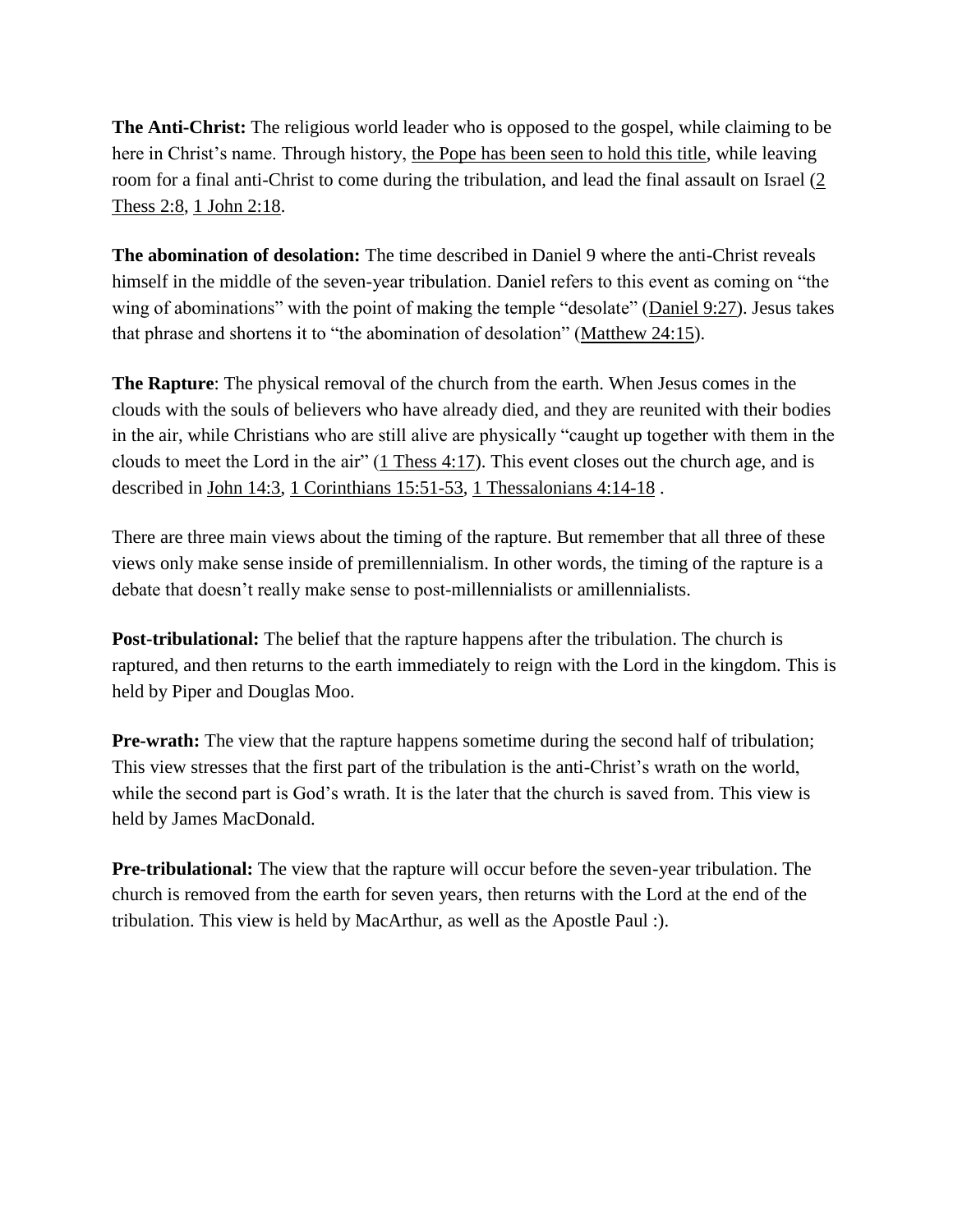**The Anti-Christ:** The religious world leader who is opposed to the gospel, while claiming to be here in Christ's name. Through history, [the Pope has been seen to hold this title,](http://thecripplegate.com/a-friendly-reminder-the-pope-is-probably-the-antichrist/) while leaving room for a final anti-Christ to come during the tribulation, and lead the final assault on Israel [\(2](http://biblia.com/bible/esv/2%20Thess%202.8)  [Thess 2:8,](http://biblia.com/bible/esv/2%20Thess%202.8) [1 John 2:18.](http://biblia.com/bible/esv/1%20John%202.18)

**The abomination of desolation:** The time described in Daniel 9 where the anti-Christ reveals himself in the middle of the seven-year tribulation. Daniel refers to this event as coming on "the wing of abominations" with the point of making the temple "desolate" [\(Daniel 9:27\)](http://biblia.com/bible/esv/Daniel%209.27). Jesus takes that phrase and shortens it to "the abomination of desolation" [\(Matthew 24:15\)](http://biblia.com/bible/esv/Matthew%2024.15).

**The Rapture**: The physical removal of the church from the earth. When Jesus comes in the clouds with the souls of believers who have already died, and they are reunited with their bodies in the air, while Christians who are still alive are physically "caught up together with them in the clouds to meet the Lord in the air"  $(1$  Thess 4:17). This event closes out the church age, and is described in [John 14:3,](http://biblia.com/bible/esv/John%2014.3) [1 Corinthians 15:51-53,](http://biblia.com/bible/esv/1%20Corinthians%2015.51-53) [1 Thessalonians 4:14-18](http://biblia.com/bible/esv/1%20Thessalonians%204.14-18) .

There are three main views about the timing of the rapture. But remember that all three of these views only make sense inside of premillennialism. In other words, the timing of the rapture is a debate that doesn't really make sense to post-millennialists or amillennialists.

**Post-tribulational:** The belief that the rapture happens after the tribulation. The church is raptured, and then returns to the earth immediately to reign with the Lord in the kingdom. This is held by Piper and Douglas Moo.

**Pre-wrath:** The view that the rapture happens sometime during the second half of tribulation; This view stresses that the first part of the tribulation is the anti-Christ's wrath on the world, while the second part is God's wrath. It is the later that the church is saved from. This view is held by James MacDonald.

**Pre-tribulational:** The view that the rapture will occur before the seven-year tribulation. The church is removed from the earth for seven years, then returns with the Lord at the end of the tribulation. This view is held by MacArthur, as well as the Apostle Paul :).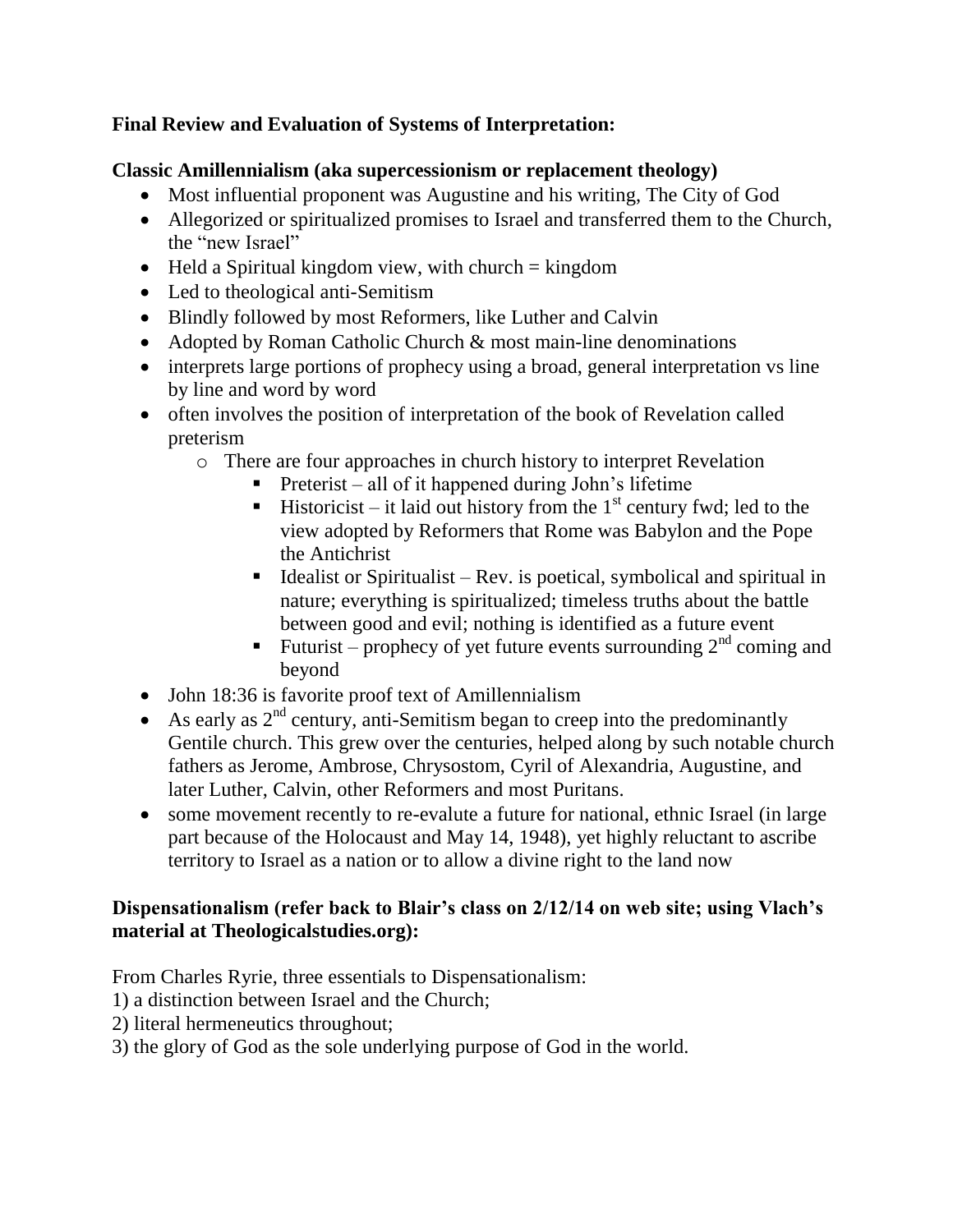## **Final Review and Evaluation of Systems of Interpretation:**

## **Classic Amillennialism (aka supercessionism or replacement theology)**

- Most influential proponent was Augustine and his writing, The City of God
- Allegorized or spiritualized promises to Israel and transferred them to the Church, the "new Israel"
- $\bullet$  Held a Spiritual kingdom view, with church = kingdom
- Led to theological anti-Semitism
- Blindly followed by most Reformers, like Luther and Calvin
- Adopted by Roman Catholic Church & most main-line denominations
- interprets large portions of prophecy using a broad, general interpretation vs line by line and word by word
- often involves the position of interpretation of the book of Revelation called preterism
	- o There are four approaches in church history to interpret Revelation
		- Preterist all of it happened during John's lifetime
		- **Historicist** it laid out history from the  $1<sup>st</sup>$  century fwd; led to the view adopted by Reformers that Rome was Babylon and the Pope the Antichrist
		- Idealist or Spiritualist Rev. is poetical, symbolical and spiritual in nature; everything is spiritualized; timeless truths about the battle between good and evil; nothing is identified as a future event
		- Futurist prophecy of yet future events surrounding  $2<sup>nd</sup>$  coming and beyond
- John 18:36 is favorite proof text of Amillennialism
- As early as  $2<sup>nd</sup>$  century, anti-Semitism began to creep into the predominantly Gentile church. This grew over the centuries, helped along by such notable church fathers as Jerome, Ambrose, Chrysostom, Cyril of Alexandria, Augustine, and later Luther, Calvin, other Reformers and most Puritans.
- some movement recently to re-evalute a future for national, ethnic Israel (in large part because of the Holocaust and May 14, 1948), yet highly reluctant to ascribe territory to Israel as a nation or to allow a divine right to the land now

## **Dispensationalism (refer back to Blair's class on 2/12/14 on web site; using Vlach's material at Theologicalstudies.org):**

From Charles Ryrie, three essentials to Dispensationalism:

- 1) a distinction between Israel and the Church;
- 2) literal hermeneutics throughout;
- 3) the glory of God as the sole underlying purpose of God in the world.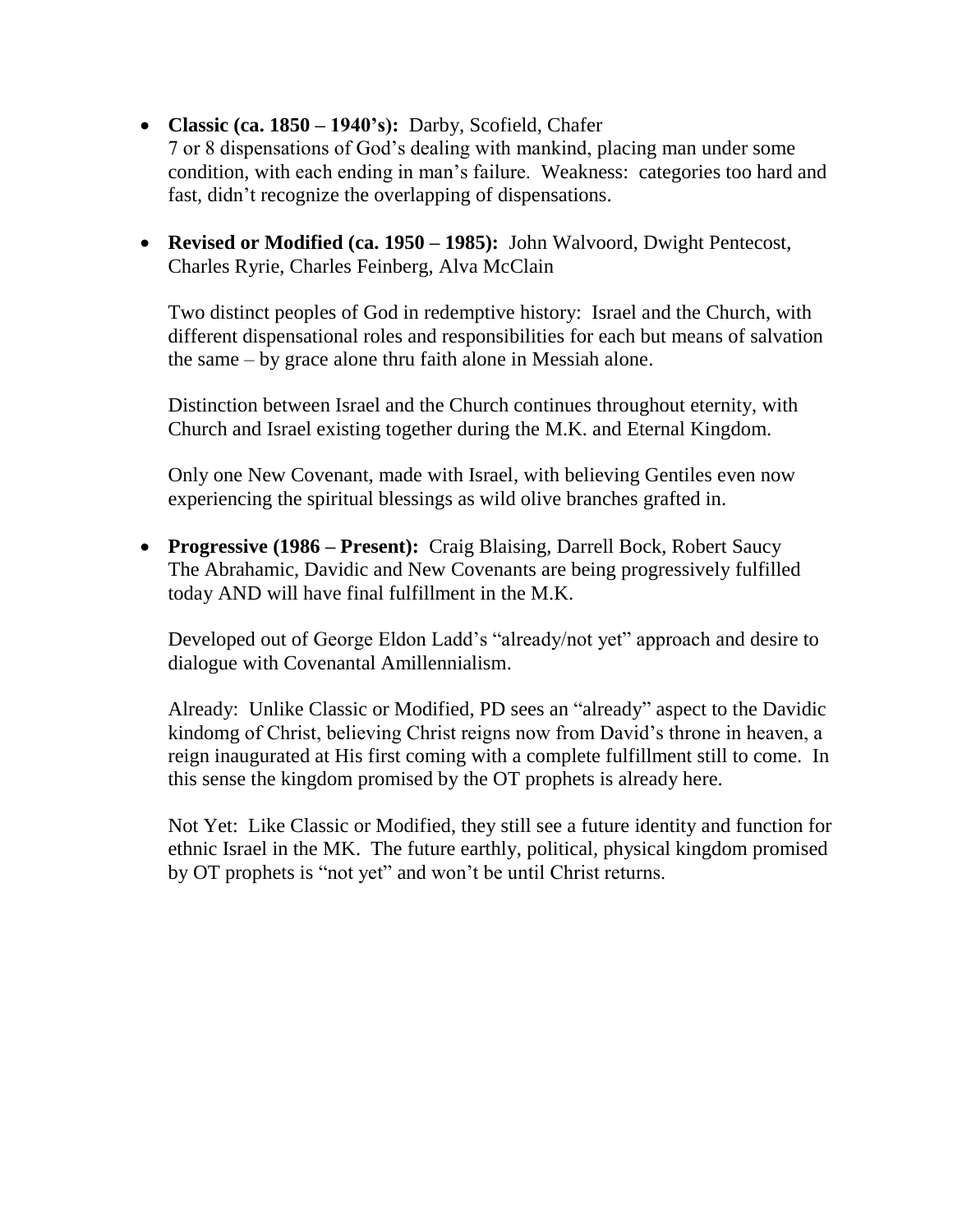- **Classic (ca. 1850 – 1940's):** Darby, Scofield, Chafer 7 or 8 dispensations of God's dealing with mankind, placing man under some condition, with each ending in man's failure. Weakness: categories too hard and fast, didn't recognize the overlapping of dispensations.
- **Revised or Modified (ca. 1950 – 1985):** John Walvoord, Dwight Pentecost, Charles Ryrie, Charles Feinberg, Alva McClain

Two distinct peoples of God in redemptive history: Israel and the Church, with different dispensational roles and responsibilities for each but means of salvation the same – by grace alone thru faith alone in Messiah alone.

Distinction between Israel and the Church continues throughout eternity, with Church and Israel existing together during the M.K. and Eternal Kingdom.

Only one New Covenant, made with Israel, with believing Gentiles even now experiencing the spiritual blessings as wild olive branches grafted in.

 **Progressive (1986 – Present):** Craig Blaising, Darrell Bock, Robert Saucy The Abrahamic, Davidic and New Covenants are being progressively fulfilled today AND will have final fulfillment in the M.K.

Developed out of George Eldon Ladd's "already/not yet" approach and desire to dialogue with Covenantal Amillennialism.

Already: Unlike Classic or Modified, PD sees an "already" aspect to the Davidic kindomg of Christ, believing Christ reigns now from David's throne in heaven, a reign inaugurated at His first coming with a complete fulfillment still to come. In this sense the kingdom promised by the OT prophets is already here.

Not Yet: Like Classic or Modified, they still see a future identity and function for ethnic Israel in the MK. The future earthly, political, physical kingdom promised by OT prophets is "not yet" and won't be until Christ returns.